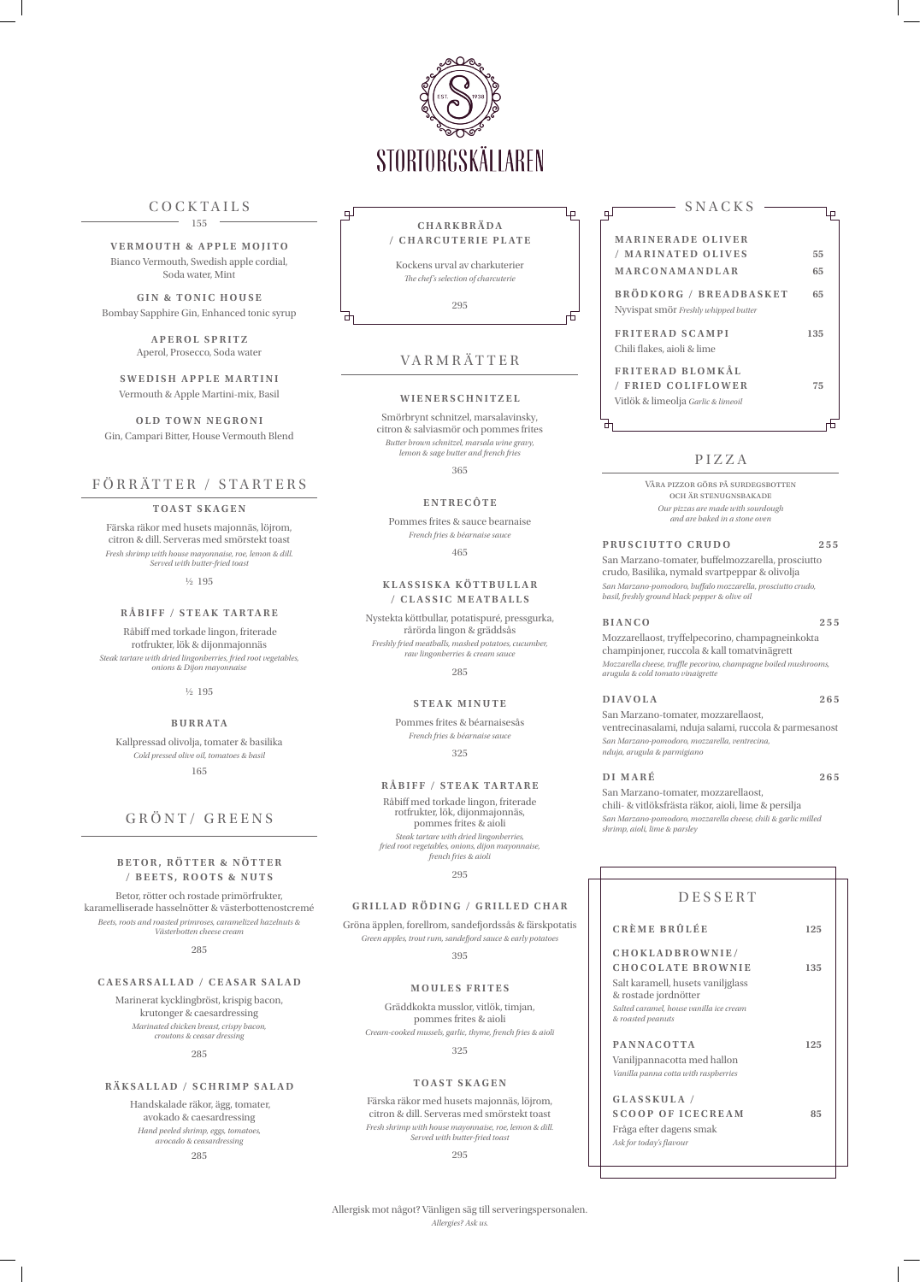| SNACKS                                                                              |     |
|-------------------------------------------------------------------------------------|-----|
| <b>MARINERADE OLIVER</b>                                                            |     |
| / MARINATED OLIVES                                                                  | 55  |
| MARCONAMANDLAR                                                                      | 65  |
| <b>BRÖDKORG / BREADBASKET</b><br>Nyvispat smör Freshly whipped butter               | 65  |
| <b>FRITERAD SCAMPI</b><br>Chili flakes, aioli & lime                                | 135 |
| <b>FRITERAD BLOMKÅL</b><br>/ FRIED COLIFLOWER<br>Vitlök & limeolja Garlic & limeoil | 75  |
|                                                                                     |     |

**VERMOUTH & APPLE MOJITO** Bianco Vermouth, Swedish apple cordial, Soda water, Mint



## COCKTAILS

**SWEDISH APPLE MARTINI** Vermouth & Apple Martini-mix, Basil

155

**GIN & TONIC HOUSE** Bombay Sapphire Gin, Enhanced tonic syrup

> **APEROL SPRITZ** Aperol, Prosecco, Soda water

**OLD TOWN NEGRONI** Gin, Campari Bitter, House Vermouth Blend

## FÖRRÄTTER / STARTERS

#### **TOAST SKAGEN**

Färska räkor med husets majonnäs, löjrom, citron & dill. Serveras med smörstekt toast *Fresh shrimp with house mayonnaise, roe, lemon & dill. Served with butter-fried toast*

½ 195

#### **RÅBIFF / STEAK TARTARE**

 Råbiff med torkade lingon, friterade rotfrukter, lök & dijonmajonnäs *Steak tartare with dried lingonberries, fried root vegetables, onions & Dijon mayonnaise*

½ 195

#### **B U R R ATA**

Kallpressad olivolja, tomater & basilika *Cold pressed olive oil, tomatoes & basil* 165

## GRÖNT/ GREENS

### **BETOR, RÖTTER & NÖTTER / B E E T S , R O O T S & N U T S**

Betor, rötter och rostade primörfrukter, karamelliserade hasselnötter & västerbottenostcremé *Beets, roots and roasted primroses, caramelized hazelnuts & Västerbotten cheese cream*

285

#### **CAESARSALLAD / CEASAR SALAD**

Marinerat kycklingbröst, krispig bacon, krutonger & caesardressing *Marinated chicken breast, crispy bacon, croutons & ceasar dressing*

285

### **RÄKSALLAD / SCHRIMP SALAD**

 Handskalade räkor, ägg, tomater, avokado & caesardressing *Hand peeled shrimp, eggs, tomatoes, avocado & ceasardressing*

285

## DESSERT

**CRÈME BRÛLÉE 125**

**CHOKLADBROWNIE/ CHOCOLATE BROWNIE 135** Salt karamell, husets vaniljglass & rostade jordnötter *Salted caramel, house vanilla ice cream & roasted peanuts* **PANNACOTTA 125** Vaniljpannacotta med hallon *Vanilla panna cotta with raspberries* **GLASSKULA / SCOOP OF ICECREAM 85** Fråga efter dagens smak *Ask for today's flavour*

## PIZZA

Våra pizzor görs på surdegsbotten och är stenugnsbakade *Our pizzas are made with sourdough and are baked in a stone oven*

## **PRUSCIUTTO CRUDO 255**

San Marzano-tomater, buffelmozzarella, prosciutto crudo, Basilika, nymald svartpeppar & olivolja *San Marzano-pomodoro, buffalo mozzarella, prosciutto crudo, basil, freshly ground black pepper & olive oil*

#### **BIANCO 255**

Mozzarellaost, tryffelpecorino, champagneinkokta champinjoner, ruccola & kall tomatvinägrett *Mozzarella cheese, truffle pecorino, champagne boiled mushrooms, arugula & cold tomato vinaigrette*

## **DIAVOLA 265**

San Marzano-tomater, mozzarellaost, ventrecinasalami, nduja salami, ruccola & parmesanost *San Marzano-pomodoro, mozzarella, ventrecina, nduja, arugula & parmigiano*

#### **DI MARÉ 265**

San Marzano-tomater, mozzarellaost, chili- & vitlöksfrästa räkor, aioli, lime & persilja *San Marzano-pomodoro, mozzarella cheese, chili & garlic milled shrimp, aioli, lime & parsley*

# VARMRÄTTER

#### **WIENERSCHNITZEL**

Smörbrynt schnitzel, marsalavinsky, citron & salviasmör och pommes frites *Butter brown schnitzel, marsala wine gravy, lemon & sage butter and french fries*

365

#### **E N T R E C Ô T E**

Pommes frites & sauce bearnaise *French fries & béarnaise sauce*

465

### **KLASSISKA KÖTTBULLAR / CLASSIC MEATBALLS**

Nystekta köttbullar, potatispuré, pressgurka,

rårörda lingon & gräddsås *Freshly fried meatballs, mashed potatoes, cucumber, raw lingonberries & cream sauce*

285

#### **STEAK MINUTE**

Pommes frites & béarnaisesås *French fries & béarnaise sauce*

325

#### **RÅBIFF / STEAK TARTARE**

Råbiff med torkade lingon, friterade rotfrukter, lök, dijonmajonnäs, pommes frites & aioli *Steak tartare with dried lingonberries, fried root vegetables, onions, dijon mayonnaise, french fries & aioli* 

295

## **GRILLAD RÖDING / GRILLED CHAR**

Gröna äpplen, forellrom, sandefjordssås & färskpotatis

*Green apples, trout rum, sandefjord sauce & early potatoes*

395

#### **M O U L E S F R I T E S**

Gräddkokta musslor, vitlök, timjan, pommes frites & aioli *Cream-cooked mussels, garlic, thyme, french fries & aioli*

325

#### **TOAST SKAGEN**

Färska räkor med husets majonnäs, löjrom, citron & dill. Serveras med smörstekt toast *Fresh shrimp with house mayonnaise, roe, lemon & dill. Served with butter-fried toast*

295

Allergisk mot något? Vänligen säg till serveringspersonalen.

*Allergies? Ask us.*

# **CHARKBRÄDA / CHARCUTERIE PLATE**

Ļр

╥

 $\Box$ 

 $\pm$ 

Kockens urval av charkuterier *The chef's selection of charcuterie*

295